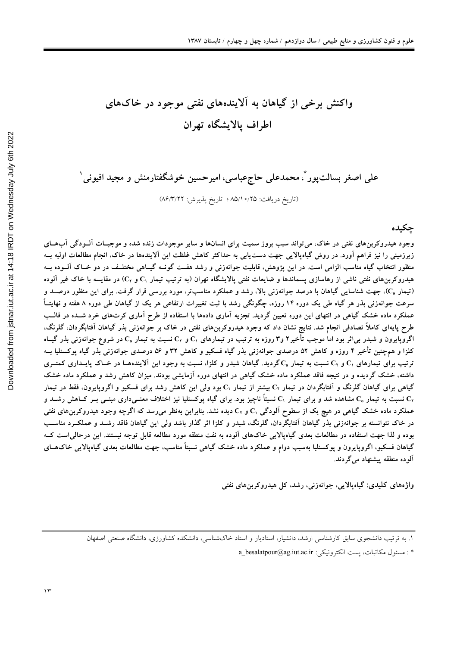# واکنش برخی از گیاهان به آلایندههای نفتی موجود در خاکهای اطراف يالايشگاه تهران

علی اصغر بسالتپور ؓ، محمدعلی حاجءباسی، امیرحسین خوشگفتارمنش و مجید افیونی ٰ

(تاريخ دريافت: ٨٥/١٠/٢٥ ؛ تاريخ پذيرش: ٨۶/٣/٢٢)

جكيده

وجود هیدروکربنهای نفتی در خاک، می تواند سبب بروز سمیت برای انسانها و سایر موجودات زنده شده و موجبـات آلــودگی آبـهــای زیرزمینی را نیز فراهم آورد. در روش گیاهپالایی جهت دستLیابی به حداکثر کاهش غلظت این آلایندهها در خاک، انجام مطالعات اولیه بــه منظور انتخاب گیاه مناسب الزامی است. در این پژوهش، قابلیت جوانهزنی و رشد هفـت گونــه گیــاهی مختلـف در دو خــاک آلــوده بــه هیدروکربن های نفتی ناشی از رهاسازی پسماندها و ضایعات نفتی پالایشگاه تهران (به ترتیب تیمار ،C و ،C) در مقایسه با خاک غیر آلوده (تیمار C<sub>o</sub>)، جهت شناسایی گیاهان با درصد جوانهزنی بالا، رشد و عملکرد مناسبتر، مورد بررسی قرار گرفت. برای این منظور درصـد و سرعت جوانهزنی بذر هر گیاه طی یک دوره ۱۴ روزه، چگونگی رشد با ثبت تغییرات ارتفاعی هر یک از گیاهان طی دوره ۸ هفته و نهایتـاً عملکرد ماده خشک گیاهی در انتهای این دوره تعیین گردید. تجزیه آماری دادهها با استفاده از طرح آماری کرتهای خرد شـده در قالـب طرح پایهای کاملاً تصادفی انجام شد. نتایج نشان داد که وجود هیدروکربن های نفتی در خاک بر جوانهزنی بذر گیاهان آفتابگردان، گلرنگ، اگروپایرون و شبدر بی[ثر بود اما موجب تأخیر۲ و۳ روزه به ترتیب در تیمارهای ،C و ،C نسبت به تیمار ،C در شروع جوانهزنی بذر گیـاه کلزا و همچنین تأخیر ۴ روزه و کاهش ۵۲ درصدی جوانهزنی بذر گیاه فسکیو و کاهش ۳۲ و ۵۶ درصدی جوانهزنی بذر گیاه پوکسنلیا ب ترتیب برای تیمارهای ، ${\bf C}_1$  و ، ${\bf C}_2$  نسبت به تیمار  ${\bf C}_0$ گردید. گیاهان شبدر و کلزا، نسبت به وجود این اَلایندههـا در خــاک پایــداری کمتــری داشته، خشک گردیده و در نتیجه فاقد عملکرد ماده خشک گیاهی در انتهای دوره آزمایشی بودند. میزان کاهش رشد و عملکرد ماده خشک گیاهی برای گیاهان گلرنگ و آفتابگردان در تیمار ، ${\rm C}_1$  بیشتر از تیمار ، ${\rm C}_1$  بود ولی این کاهش رشد برای فسکیو و اگروپایرون، فقط در تیمار نسبت به تیمار  $\rm C_{_{0}}$  مشاهده شد و برای تیمار  $\rm C_{1}$  نسبتاً ناچیز بود. برای گیاه پوکسنلیا نیز اختلاف معنــی۱دری مبنــی بــر کــاهش رشــد و  $\rm C_{_{Y}}$ عملکرد ماده خشک گیاهی در هیچ یک از سطوح اَلودگی ،C و ،C دیده نشد. بنابراین بهنظر میرسد که اگرچه وجود هیدروکربن های نفتی در خاک نتوانسته بر جوانهزنی بذر گیاهان اَفتابگردان، گلرنگ، شبدر و کلزا اثر گذار باشد ولی این گیاهان فاقد رشــد و عملکــرد مناســب بوده و لذا جهت استفاده در مطالعات بعدی گیاهپالایی خاکهای آلوده به نفت منطقه مورد مطالعه قابل توجه نیستند. این درحالی است ک گیاهان فسکیو، اگروپایرون و پوکسنلیا بهسبب دوام و عملکرد ماده خشک گیاهی نسبتاً مناسب، جهت مطالعات بعدی گیاهپالایی خاکهــای آلوده منطقه پیشنهاد میگردند.

واژەھای کلیدی: گیاەپالایی، جوانەزنی، رشد، کل ھیدروکربن ھای نفتی

١. به ترتیب دانشجوی سابق کارشناسی ارشد، دانشیار، استادیار و استاد خاکشناسی، دانشکده کشاورزی، دانشگاه صنعتی اصفهان

<sup>\*:</sup> مسئول مكاتبات، يست الكترونيكي: a\_besalatpour@ag.iut.ac.ir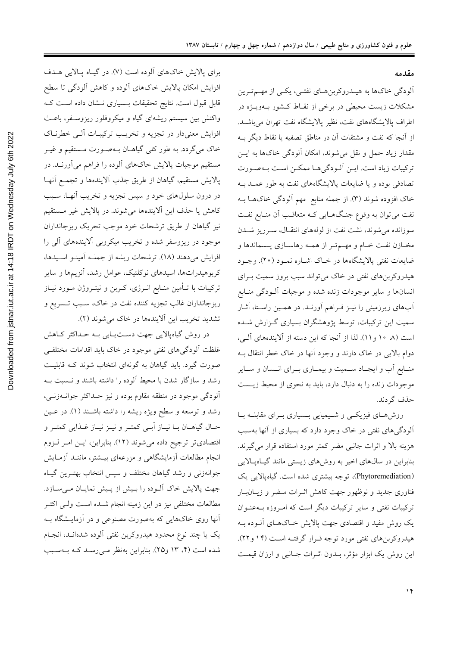مقدمه

آلودگي خاکها به هيـدروکربنهـاي نفتـي، يکـي از مهـمتـرين مشکلات زیست محیطی در برخی از نقـاط کـشور بــهویــژه در اطراف پالایشگاههای نفت، نظیر پالایشگاه نفت تهران می باشـد. از آنجا که نفت و مشتقات آن در مناطق تصفیه یا نقاط دیگر بـه مقدار زیاد حمل و نقل می شوند، امکان آلودگی خاکها به ایــن تركيبات زياد است. ايــن آلــودگي هــا ممكــن اســت بــهصــورت تصادفی بوده و یا ضایعات پالایشگاههای نفت به طور عمـد بـه خاک افزوده شوند (۳). از جمله منابع ًمهم الودگی خاکهـا بـه نفت میتوان به وقوع جنگهایی کـه متعاقـب آن منـابع نفـت سوزانده می شوند، نشت نفت از لولههای انتقال، سرریز شدن مخـازن نفـت خـام و مهــمتـر از همــه رهاســازي پــسماندها و ضایعات نفتی پالایشگاهها در خـاک اشـاره نمـود (۲۰). وجـود هیدروکربنهای نفتی در خاک می تواند سبب بروز سمیت بـرای انسانها و سایر موجودات زنده شده و موجبات آلــودگی منــابع أبهای زیرزمینی را نیـز فـراهم اَورنـد. در همـین راسـتا، اَثـار سمیت این ترکیبات، توسط پژوهشگران بسیاری گـزارش شـده است (٨ ١٠ و ١١). لذا از آنجا كه اين دسته از آلايندههاي آلـي، دوام بالایی در خاک دارند و وجود آنها در خاک خطر انتقال بـه منـابع أب و ايجـاد ســميت و بيمــاري بــراي انــسان و ســاير موجودات زنده را به دنبال دارد، باید به نحوی از محیط زیـست حذف گردند.

روش هــاي فيزيكــي و شــيميايي بــسياري بــراي مقابلــه بــا آلودگیهای نفتی در خاک وجود دارد که بسیاری از آنها بهسبب هزینه بالا و اثرات جانبی مضر کمتر مورد استفاده قرار می گیرند. بنابراین در سال@ای اخیر به روش۵ای زیستی مانند گیـاهپـالایی (Phytoremediation)، توجه بیشتری شده است. گیاهپالایی یک .<br>فناوری جدید و نوظهور جهت کاهش اثـرات مـضر و زیــان بــار ترکیبات نفتی و سایر ترکیبات دیگر است که امروزه بـهعنـوان يک روش مفيد و اقتصادي جهت پالايش خـاکهـاي آلــوده بــه هیدروکربنهای نفتی مورد توجه قـرار گرفتـه اسـت (۱۴ و۲۲). این روش یک ابزار مؤثر، بـدون اثـرات جـانبی و ارزان قیمـت

برای پالایش خاکهای آلوده است (۷). در گیاه پالایی هـدف افزایش امکان پالایش خاکهای آلوده و کاهش آلودگی تا سطح قابل قبول است. نتایج تحقیقات بـسیاری نـشان داده اسـت کـه واکنش بین سیستم ریشهای گیاه و میکروفلور ریزوسـفر، باعـث افزایش معنیدار در تجزیه و تخریب ترکیبـات آلـی خطرنـاک خاک میگردد. به طور کلی گیاهـان بـهصـورت مـستقیم و غیـر مستقیم موجبات پالایش خاکهای آلوده را فراهم می آورنــد. در بالايش مستقيم، گياهان از طريق جذب آلايندهها و تجمـع آنهـا در درون سلولهای خود و سپس تجزیه و تخریب أنهـا، سـبب كاهش يا حذف اين آلايندهها مي شوند. در پالايش غير مستقيم نیز گیاهان از طریق ترشحات خود موجب تحریک ریزجانداران موجود در ریزوسفر شده و تخریب میکروبی آلایندههای آلی را افزايش مي دهند (١٨). ترشحات ريشه از جملـه آمينــو اســيدها، کربوهیدراتها، اسیدهای نوکلئیک، عوامل رشد، آنزیمها و سایر ترکیبات با تـأمین منـابع انــرژی، کــربن و نیتــروژن مــورد نیــاز ریزجانداران غالب تجزیه کننده نفت در خاک، سـبب تــسریع و تشدید تخریب این اَلایندهها در خاک میشوند (۲).

در روش گیاهپالایی جهت دستیابی بـه حـداکثر کـاهش غلظت آلودگی های نفتی موجود در خاک باید اقدامات مختلفی صورت گیرد. باید گیاهان به گونهای انتخاب شوند کـه قابلیـت رشد و سازگار شدن با محیط آلوده را داشته باشند و نـسبت بـه آلودگی موجود در منطقه مقاوم بوده و نیز حــداکثر جوانــهزنــی، رشد و توسعه و سطح ویژه ریشه را داشته باشـند (۱). در عـین حـال گياهــان بــا نيــاز اّبــي كمتــر و نيــز نيــاز غــذايي كمتــر و اقتصادي تر ترجيح داده مي شوند (١٢). بنابراين، ايـن امـر لـزوم انجام مطالعات أزمايشگاهي و مزرعهاي بيــشتر، ماننــد أزمــايش جوانهزنی و رشد گیاهان مختلف و سپس انتخاب بهتـرین گیـاه جهت پالایش خاک آلـوده را بـیش از پـیش نمایـان مـیسـازد. مطالعات مختلفى نيز در اين زمينه انجام شــده اسـت ولــى اكثــر أنها روی خاکهایی که بهصورت مصنوعی و در آزمایــشگاه بــه یک یا چند نوع محدود هیدروکربن نفتی آلوده شدهانـد، انجـام شده است (۴، ۱۳ و۲۵). بنابراین بهنظر مےرسد کـه بـهسـبب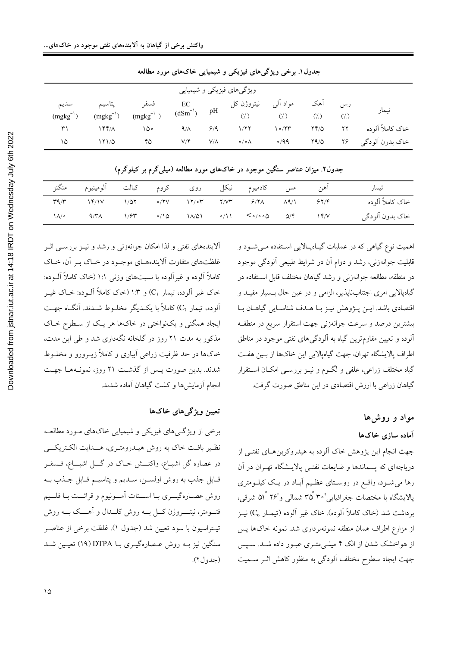| ویژگیهای فیزیکی و شیمیایی |                         |                       |                         |             |                         |                  |             |                                  |                   |
|---------------------------|-------------------------|-----------------------|-------------------------|-------------|-------------------------|------------------|-------------|----------------------------------|-------------------|
| سديم<br>$(mgkg^{-1})$     | پتاسيم<br>$(mgkg^{-1})$ | فسفر<br>$(mgkg^{-1})$ | $\frac{EC}{(dSm^{-1})}$ | pH          | نيتروژن کل<br>$($ , $)$ | مواد ألبي<br>(7) | اهک         | رس<br>$\left(\frac{1}{2}\right)$ | تيمار             |
| ٣١                        | ۱۴۴/۸                   | ۱۵۰                   | 9/1                     | 9/9         | 1/77                    | ۱۰/۲۳            | $YY/\Delta$ | ۲۲                               | خاک کاملاً آلو ده |
| ۱۵                        | 111/0                   | ۴۵                    | ۷/۴                     | $V/\Lambda$ | $\circ / \circ \wedge$  | $\circ$ /99      | Y9/0        | ۲۶                               | خاک بدون اّلودگی  |

جدول۱. برخی ویژگیهای فیزیکی و شیمیایی خاکهای مورد مطالعه

|                 | آهن مس کادمیوم نیکل روی کروم کبالت آلومینیوم منگنز |  |  |                                                            |  | تيمار            |
|-----------------|----------------------------------------------------|--|--|------------------------------------------------------------|--|------------------|
|                 |                                                    |  |  |                                                            |  | خاک کاملاً آلوده |
| $\Lambda/\circ$ | $9/7\lambda$                                       |  |  | $1/5$ $\sim$ $(10 - 11/0)$ $\sim$ $(11 - 5/0.00)$ $(15/0)$ |  | خاک بدون اَلودگي |

جدول۲. میزان عناصر سنگین موجود در خاکهای مورد مطالعه (میلی گرم بر کیلوگرم)

اهمیت نوع گیاهی که در عملیات گیـاهپـالایی اسـتفاده مـیشـود و قابلیت جوانهزنی، رشد و دوام آن در شرایط طبیعی آلودگی موجود در منطقه، مطالعه جوانهزنی و رشد گیاهان مختلف قابل استفاده در گیاهپالایی امری اجتنابناپذیر، الزامی و در عین حال بسیار مفیـد و اقتصادي باشد. ايــن پــژوهش نيــز بــا هــدف شناســايي گياهــان بــا بیشترین درصد و سرعت جوانهزنی جهت استقرار سریع در منطقـه آلوده و تعیین مقاوم ترین گیاه به آلودگیهای نفتی موجود در مناطق اطراف پالایشگاه تهران، جهت گیاهپالایی این خاکها از بین هفت گیاه مختلف زراعی، علفی و لگــوم و نیــز بررســی امکــان اســتقرار گیاهان زراعی با ارزش اقتصادی در این مناطق صورت گرفت.

مواد و روشها

### آماده سازى خاكها

جهت انجام این پژوهش خاک آلوده به هیدروکربنِهـای نفتــی از دریاچهای که پسماندها و ضایعات نفتـی پالایــشگاه تهــران در آن رها می شــود، واقــع در روســتای عظـیم اَبــاد در یــک کیلــومتری پالایشگاه با مختصات جغرافیایی'۳۵ْ ۳۵ْ شمال<sub>ی</sub> و'۲۶ْ ۵۱ْ شرقی، برداشت شد (خاک کاملاً آلوده). خاک غیر آلوده (تیمـار ،C) نیـز از مزارع اطراف همان منطقه نمونهبرداری شد. نمونه خاکها پس از هواخشک شدن از الک ۴ میلـیمتـری عبـور داده شـد. سـپس جهت ایجاد سطوح مختلف آلودگی به منظور کاهش اثـر ســمیت

آلایندههای نفتی و لذا امکان جوانهزنی و رشد و نیـز بررسـی اثـر غلظتهای متفاوت آلایندههـای موجـود در خـاک بـر آن، خـاک کاملاً آلوده و غیرآلوده با نسبتهای وزنی ۱:۱ (خاک کاملاً آلــوده: خاک غیر اَلوده، تیمار C<sub>۱</sub>) و ۱:۳ (خاک کاملاً اَلــوده: خــاک غیــر آلوده، تيمار ،C) كاملاً با يكـديگر مخلـوط شــدند. آنگــاه جهـت ایجاد همگنی و یکنواختی در خاکها هر یک از سطوح خـاک مذکور به مدت ۲۱ روز در گلخانه نگهداری شد و طی این مدت، خاکها در حد ظرفیت زراعی اَبیاری و کاملاً زیــرورو و مخلــوط شدند. بدین صورت پس از گذشت ۲۱ روز، نمونـههـا جهـت انجام أزمايش ها و كشت گياهان أماده شدند.

#### تعيين ويژگى هاى خاكها

برخی از ویژگـیهای فیزیکی و شیمیایی خاکـهای مـورد مطالعـه نظیر بافت خاک به روش هیـدرومتـری، هــدایت الکـتریکـــی در عصاره گل اشبــاع، واکنــــش خــاک در گــــل اشبــــاع، فــــمفــر قـابل جذب به روش اولســن، ســديم و پتاسيــم قــابل جــذب بــه روش عصـارهگيـــري بــا اســـتات أمـــونيوم و قرائـــت بــا فلـــيم فتـــومتر، نیتـــــروژن کـــل بــــه روش کلــــدال و آهــــک بــــه روش تيــتراسيون با سود تعيين شد (جدول ١). غلظت برخي از عناصــر سنگین نیز بـه روش عـصارهگیـری بــا DTPA (۱۹) تعیـین شــد (جدول ٢).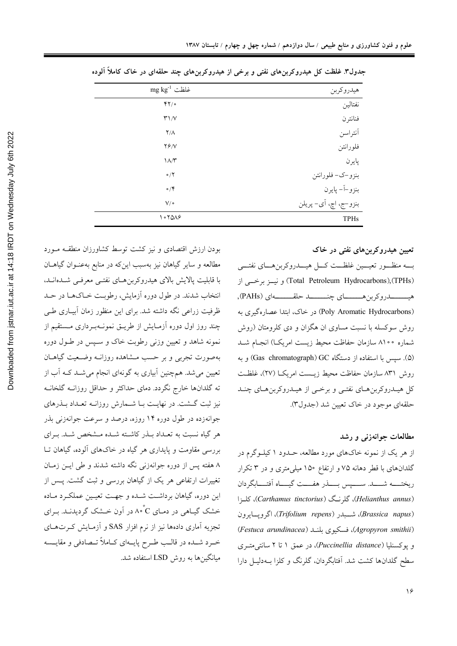| هيدروكربن             | $mg kg^{-1}$ غلظت        |
|-----------------------|--------------------------|
| نفتالين               | YY                       |
| فنانترن               | $\mathsf{r}'\mathsf{N}'$ |
| أنتراسن               | $\Upsilon/\Lambda$       |
| فلورانتن              | YY/Y                     |
| پايرن                 | $\Lambda/\Upsilon$       |
| بنزو–ک– فلورانتن      | $\circ/7$                |
| بنزو–آ– پايرن         | $\circ/$                 |
| بنزو–ج، اچ، آي- پريلن | $V/\circ$                |
| <b>TPHs</b>           | 1070A9                   |
|                       |                          |

جدول۳. غلظت کل هیدروکربنهای نفتی و برخی از هیدروکربنهای چند حلقهای در خاک کاملاً آلوده

تعیین هیدروکربنهای نفتی در خاک بــه منظــور تعيـــين غلظـــت كـــل هيـــدروكربنهـــاي نفتـــي (Total Petroleum Hydrocarbons), (TPHs) و نیبز برخبی از (Poly Aromatic Hydrocarbons) در خاک، ابتدا عصارهگیری به روش سوکسله با نسبت مساوی ان هگزان و دی کلرومتان (روش شماره ۸۱۰۰ سازمان حفاظت محیط زیست امریک) انجـام شــد (۵). سيس با استفاده از دستگاه Gas chromatograph) GC) و به روش ٨٣١ سازمان حفاظت محبط زيـست امريكــا (٢٧)، غلظـت کل هیـدروکربن هـاي نفتـي و برخـي از هيـدروکربن هـاي چنـد حلقهای موجود در خاک تعیین شد (جدول۳).

#### مطالعات جوانهزنی و رشد

از هر یک از نمونه خاکهای مورد مطالعه، حـدود ۱ کیلــوگرم در گلدانهای با قطر دهانه ۷۵ و ارتفاع ۱۵۰ میلی متری و در ۳ تکرار ريختــــه شـــــد. ســـــــپس بـــــذر هفــــت گيــــاه أفتـــــابگردان (Helianthus annus)، كلرنگ (Carthamus tinctorius)، كلزا (Brassica napus)، شــبدر (Trifolium repens)، اگرویــایرون (Agropyron smithii)، فسكيوى بلنـد (Festuca arundinacea) و پوکسنلیا (Puccinellia distance)، در عمق ۱ تا ۲ سانتی متـری سطح گلدانها کشت شد. اَفتابگردان، گلرنگ و کلزا بـهدليـل دارا

بودن ارزش اقتصادى و نيز كشت توسط كشاورزان منطقــه مــورد مطالعه و سایر گیاهان نیز بهسبب اینکه در منابع بهعنـوان گیاهــان با قابليت پالايش بالاي هيدروكربن هـاي نفتـي معرفـي شــدهانــد، انتخاب شدند. در طول دوره آزمایش، رطوبت خـاکهـا در حـد ظرفیت زراعی نگه داشته شد. برای این منظور زمان آبیـاری طـی چند روز اول دوره آزمـايش از طريــق نمونــهبــردارى مــستقيم از .<br>نمونه شاهد و تعیین وزن<sub>ی</sub> رطوبت خاک و سـپس در طـول دوره بهصورت تجربي و بر حسب مــشاهده روزانــه وضــعيت گياهــان تعیین میشد. همچنین آبیاری به گونهای انجام میشـد کـه آب از ته گلدانها خارج نگردد. دمای حداکثر و حداقل روزانـه گلخانـه نیز ثبت گشت. در نهایـت بـا شـمارش روزانــه تعـداد بـذرهای جوانهزده در طول دوره ۱۴ روزه، درصد و سرعت جوانهزنی بذر هر گیاه نسبت به تعـداد بـذر كاشـته شـده مـشخص شـد. بـراي بررسی مقاومت و پایداری هر گیاه در خاکهای آلوده، گیاهان تـا ۸ هفته پس از دوره جوانهزنی نگه داشته شدند و طی ایـن زمـان تغییرات ارتفاعی هر یک از گیاهان بررسی و ثبت گشت. پـس از این دوره، گیاهان برداشت شـده و جهـت تعیـین عملکـرد مـاده خشک گیـاهی در دمـاي C°۸۰ در اَون خــشک گرديدنــد. بــراي تجزیه آماری دادهها نیز از نرم افزار SAS و آزمـایش کـرتهــای خـرد شــده در قالــب طـرح پايــهاي كــاملاً تــصادفي و مقايــسه مىانگيىنها به روش LSD استفاده شد.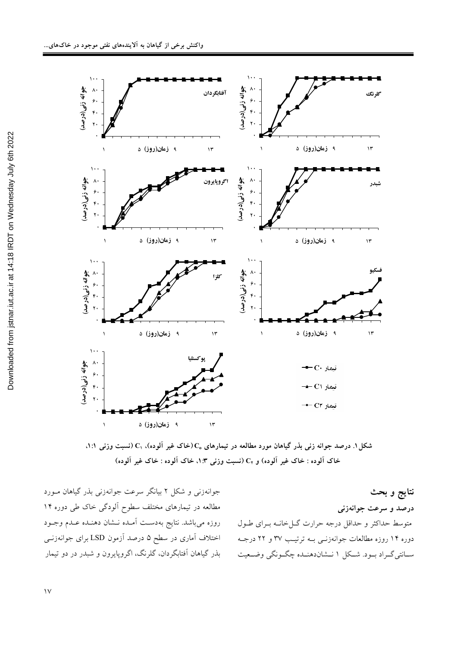

شکل ۱. درصد جوانه زنی بذر گیاهان مورد مطالعه در تیمارهای  $\mathrm{C}_\mathrm{o}$  (خاک غیر آلوده). ، $\mathrm{C}_\mathrm{i}$  (نسبت وزنی ۱:۱، خاک آلوده : خاک غیر آلوده) و C<sub>۲</sub> (نسبت وزن<sub>ی</sub> ۱:۳). خاک آلوده : خاک غیر آلوده)

نتايج و بحث درصد و سرعت جوانهزن*ی* متوسط حداکثر و حداقل درجه حرارت گــلخانــه بــرای طــول دوره ۱۴ روزه مطالعات جوانهزنــی بــه ترتیــب ۳۷ و ۲۲ درجــه ســانتىگــراد بــود. شــكل ١ نــشاندهنــده چگــونگى وضــعيت

جوانهزنی و شکل ۲ بیانگر سرعت جوانهزنی بذر گیاهان مــورد مطالعه در تیمارهای مختلف سطوح الودگی خاک طی دوره ۱۴ روزه میباشد. نتایج بهدست امـده نــشان دهنــده عــدم وجــود اختلاف أماری در سطح ۵ درصد أزمون LSD برای جوانهزنــی بذر گیاهان افتابگردان، گلرنگ، اگروپایرون و شبدر در دو تیمار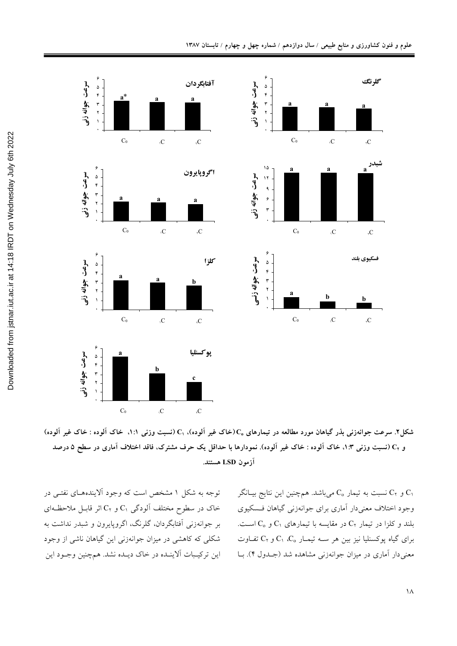

شکل۲. سرعت جوانهزنی بذر گیاهان مورد مطالعه در تیمارهای ،C (خاک غیر آلوده)، ,C (نسبت وزنی ۱:۱، خاک آلوده : خاک غیر آلوده) و C<sub>۲</sub> (نسبت وزنی ۱:۳، خاک آلوده : خاک غیر آلوده). نمودارها با حداقل یک حرف مشترک، فاقد اختلاف آماری در سطح ۵ درصد آزمون LSD هستند.

توجه به شکل ۱ مشخص است که وجود آلایندههـای نفتـی در خاک در سطوح مختلف آلودگی C<sub>۱</sub> و C<sub>۲</sub> اثر قابـل ملاحظـهای بر جوانهزنی اَفتابگردان، گلرنگ، اگروپایرون و شبدر نداشت به شکلی که کاهشی در میزان جوانهزنی این گیاهان ناشی از وجود این ترکیـبات اَلاینـده در خاک دیـده نشد. همچنین وجـود این و C<sub>۲</sub> نسبت به تیمار C<sub>0 می</sub>باشد. همچنین این نتایج بیـانگر C وجود اختلاف معنى دار آماري براي جوانهزني گياهان فـسكيوي بلند و کلزا در تیمار ،C در مقایسه با تیمارهای ،C و ،C است. برای گیاه پوکسنلیا نیز بین هر ســه تیمــار  $C_1$ ،  $C_2$  و ، $C_3$  تفــاوت معنی دار آماری در میزان جوانهزنی مشاهده شد (جـدول ۴). بــا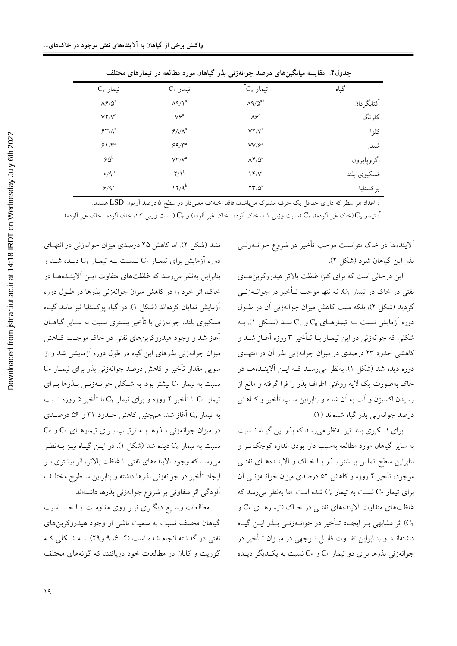| ニンプ<br>المعيشة التياميين عالق عراجه المرجوح وتحارجية |                                                |                                         |                                       |  |  |  |
|------------------------------------------------------|------------------------------------------------|-----------------------------------------|---------------------------------------|--|--|--|
| گیاه                                                 | $\mathrm{C}_\mathrm{o}$ تیمار                  | $C_1$ تیمار                             | $C_7$ تیمار                           |  |  |  |
| آفتابگر دان                                          | $\Lambda$ 9/0 <sup>a</sup>                     | $\Lambda$ 4/1 <sup>a</sup>              | $\Lambda \mathcal{S}/\Delta^a$        |  |  |  |
| گلرنگ                                                | $\Lambda \hat{\tau}^a$                         | $V \hat{\tau}^a$                        | $V\Upsilon/V^a$                       |  |  |  |
| كلزا                                                 | $\mathsf{V}\mathsf{Y}/\mathsf{V}^{\mathrm{a}}$ | $\mathcal{F} \Lambda / \Lambda^a$       | $\mathcal{F}\pmb{\Upsilon}/\Lambda^a$ |  |  |  |
| شبدر                                                 | $VV/9^a$                                       | $\mathcal{F} \mathsf{Q} / \mathsf{Y}^a$ | $9\frac{\gamma}{4}$                   |  |  |  |
| اگروپايرون                                           | $\Lambda \mathfrak{F}/\Delta^a$                | $\mathsf{V}\mathsf{Y}'\mathsf{V}^a$     | $66^{\circ}$                          |  |  |  |
| فسكيوي بلند                                          | $Y^a$                                          | $\gamma/\lambda^b$                      | $\circ$ /9 <sup>b</sup>               |  |  |  |
| پوكسنليا                                             | $\Upsilon\Upsilon/\Delta^a$                    | $17/9^b$                                | $9/9^c$                               |  |  |  |
|                                                      |                                                |                                         |                                       |  |  |  |

حدول۴. مقایسه مبانگین های درصد جوانوزنب بذر گیاهان مورد مطالعه در تیمارهای مختلف

.<br>`: اعداد هر سطر که دارای حداقل یک حرف مشترک میباشند، فاقد اختلاف معنیدار در سطح ۵ درصد اَزمون LSD هستند.

 $C_1$  ": تيمار  $C_0$ (خاک غير اَلوده)،  $C_1$  (نسبت وزنبي ١:١، خاک اَلوده : خاک غير اَلوده) و  $C_\gamma$  (نسبت وزنبي ١:٦، خاک اَلوده : خاک غير اَلوده)

آلایندهها در خاک نتوانست موجب تأخیر در شروع جوانــهزنــی بذر این گیاهان شود (شکل ۲).

این درحالی است که برای کلزا غلظت بالاتر هیدروکربن های نفتی در خاک در تیمار ،C، نه تنها موجب تــأخیر در جوانــهزنــی گردید (شکل ۲)، بلکه سبب کاهش میزان جوانهزنی آن در طـول دوره آزمایش نسبت بــه تیمارهــای  $\rm C_{o}$  و  $\rm C_{1}$  شــد (شــکل ۱). بــه شکلی که جوانهزنی در این تیمـار بـا تـأخیر ۳ روزه آغـاز شــد و کاهشی حدود ۲۳ درصدی در میزان جوانهزنی بذر آن در انتهای دوره دیده شد (شکل ۱). بهنظر میرسـد کـه ایــن اَلاینــدههــا در خاک بهصورت یک لایه روغنی اطراف بذر را فرا گرفته و مانع از رسیدن اکسیژن و اَب به اَن شده و بنابراین سبب تأخیر و کــاهش درصد جوانهزني بذر گياه شدهاند (١).

برای فسکیوی بلند نیز بهنظر می رسد که بذر این گیاه نـسبت به سایر گیاهان مورد مطالعه بهسبب دارا بودن اندازه کوچک تــر و بنابراین سطح تماس بیــشتر بــذر بــا خــاک و آلاینــدههــای نفتــی موجود، تأخیر ۴ روزه و کاهش ۵۲ درصدی میزان جوانــهزنــی آن برای تیمار C<sub>۲</sub> نسبت به تیمار C<sub>0</sub> شده است. اما بهنظر می رسد که غلظتهای متفاوت آلایندههای نفتبی در خباک (تیمارهبای C۱ و ،C) اثر مشابهي بـر ايجـاد تـأخير در جوانـهزنـي بـذر ايــن گيـاه داشتهانـد و بنـابراين تفـاوت قابـل تـوجهي در ميـزان تـأخير در جوانهزنی بذرها برای دو تیمار  $C_1$ و  $C_7$ نسبت به یک $L$ یگر دیـده

نشد (شکل ۲). اما کاهش ۲۵ درصدی میزان جوانهزنی در انتهـای دوره آزمایش برای تیمـار  $\rm C_{Y}$  نــسبت بــه تیمـار  $\rm C_{1}$  دیــده شــد و بنابراین بهنظر می رسد که غلظتهای متفاوت ایــن آلاینــدههــا در .<br>خاک، اثر خود را در کاهش میزان جوانهزنی بذرها در طــول دوره آزمایش نمایان کردهاند (شکل ۱). در گیاه پوکسنلیا نیز مانند گیـاه فسکیوی بلند، جوانهزنی با تأخیر بیشتری نسبت به سـایر گیاهــان آغاز شد و وجود هیدروکربنهای نفت<sub>ی</sub> در خاک موجب کـاهش میزان جوانهزنی بذرهای این گیاه در طول دوره آزمایشی شد و از سویی مقدار تأخیر و کاهش درصد جوانهزنی بذر برای تیمـار ،C نسبت به تیمار C۱ بیشتر بود. به شـکلی جوانــهزنــی بــذرها بــرای تیمار ،C با تأخیر ۴ روزه و برای تیمار ،C با تأخیر ۵ روزه نسبت به تیمار  $\rm C_{o}$  آغاز شد. همچنین کاهش حــدود ۳۲ و ۵۶ درصــدی  $C_1$  در میزان جوانهزنی بـذرها بـه ترتیـب بـرای تیمارهـای  $C_1$ و  $C_2$ نسبت به تیمار C<sub>o</sub> دیده شد (شکل ۱). در ایــن گیــاه نیــز بــهنظــر می رسد که وجود الایندههای نفتی با غلظت بالاتر، اثر بیشتری بـر ايجاد تأخير در جوانهزنى بذرها داشته و بنابراين ســطوح مختلـف ۔<br>آلودگی اثر متفاوتی بر شروع جوانەزنی بذرها داشتەاند.

مطالعات وسبع دیگری نیـز روی مقاومـت یـا حـساسیت گیاهان مختلف نسبت به سمیت ناشی از وجود هیدروکربن های نفتی در گذشته انجام شده است (۴، ۶، ۹ و۲۹). بــه شــکلی کــه گوریت و کابان در مطالعات خود دریافتند که گونههای مختلف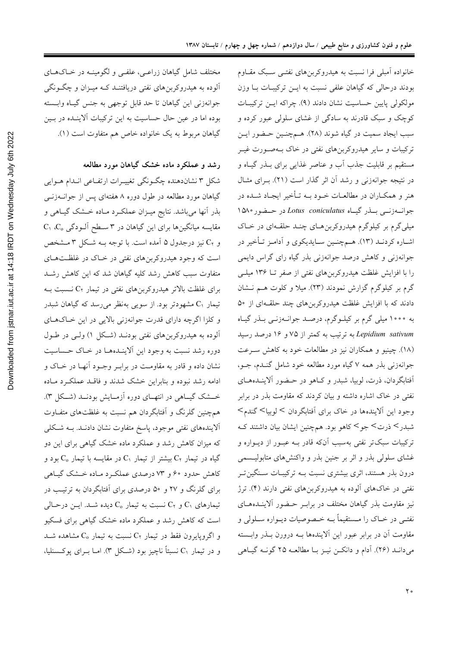خانواده آمبلی فرا نسبت به هیدروکربنهای نفتـی سـبک مقـاوم بودند درحالی که گیاهان علفی نسبت به ایـن ترکیبـات بـا وزن مولکولی پایین حساسیت نشان دادند (۹). چراکه ایـن ترکیبـات کوچک و سبک قادرند به سادگی از غشای سلولی عبور کرده و سبب ايجاد سميت در گياه شوند (٢٨). هـمچنـين حـضور ايـن ترکیبات و سایر هیدروکربنهای نفتی در خاک بـهصـورت غیــر مستقیم بر قابلیت جذب آب و عناصر غذایی برای بـذر گیـاه و در نتیجه جوانهزنی و رشد آن اثر گذار است (۲۱). بـرای مثـال هنر و همکـاران در مطالعـات خــود بــه تــأخير ايجـاد شــده در جواندزنی بلذر گیاه Lotus coniculatus در حفور ١٥٨٠ میلی گرم بر کیلوگرم هیدروکربن هـای چنــد حلقــهای در خــاک اشـاره كردنـد (١٣). هـمچنـين سـايديكوي و أدامـز تـأخير در جوانهزنی و کاهش درصد جوانهزنی بذر گیاه رای گراس دایمی را با افزایش غلظت هیدروکربنهای نفتی از صفر تــا ۱۳۶ میلــی گرم بر کیلوگرم گزارش نمودند (۲۳). میلا و کلوت هـم نـشان دادند که با افزایش غلظت هیدروکربنهای چند حلقهای از ۵۰ به ۱۰۰۰ میلی گرم بر کیلوگرم، درصد جوانمزنمی بـذر گیـاه Lepidium sativum به ترتیب به کمتر از ۷۵ و ۱۶ درصد رسید (۱۸). چینیو و همکاران نیز در مطالعات خود به کاهش سـرعت جوانهزنی بذر همه ۷ گیاه مورد مطالعه خود شامل گنـدم، جـو، أفتابگردان، ذرت، لوبیا، شبدر و کـاهو در حـضور آلاینـدههـای نفتی در خاک اشاره داشته و بیان کردند که مقاومت بذر در برابر وجود این آلایندهها در خاک برای آفتابگردان کالوبیاک گندم شبدرک ذرتک جوک کاهو بود. همچنین ایشان بیان داشتند ک ترکیبات سبکتر نفتی بهسبب آنکه قادر بــه عبــور از دیــواره و غشای سلولی بذر و اثر بر جنین بذر و واکنش های متابولیـسمی درون بذر هستند، اثری بیشتری نسبت بـه ترکیبـات سـنگینتـر نفتی در خاکهای آلوده به هیدروکربنهای نفتی دارند (۴). ترژ نیز مقاومت بذر گیاهان مختلف در برابـر حـضور آلاینــدههــای نفتــي در خــاک را مــستقيماً بــه خــصوصيات ديــواره ســلولي و مقاومت آن در برابر عبور این آلایندهها بـه درورن بــذر وابــسته مي دانـد (٢۶). أدام و دانكـن نيـز بـا مطالعـه ٢۵ گونـه گيـاهي

مختلف شامل گیاهان زراعـی، علفـی و لگومینـه در خــاکـهــای آلوده به هیدروکربنهای نفتی دریافتنـد کـه میـزان و چگـونگـی جوانهزنی این گیاهان تا حد قابل توجهی به جنس گیاه وابسته بوده اما در عین حال حساسیت به این ترکیبات آلاینــده در بــین گیاهان مربوط به یک خانواده خاص هم متفاوت است (۱).

رشد و عملکرد ماده خشک گیاهان مورد مطالعه

شکل ۳ نشاندهنده چگونگی تغییـرات ارتفـاعی انـدام هـوایی گیاهان مورد مطالعه در طول دوره ۸ هفتهای پس از جوانــهزنـــی بذر آنها میباشد. نتایج میـزان عملکـرد مـاده خـشک گیـاهی و C دقایسه میانگینها برای این گیاهان در ۳ سطح آلـودگی و C<sub>۲</sub> نیز درجدول ۵ آمده است. با توجه بــه شــکل ۳ مــشخص است که وجود هیدروکربنهای نفتی در خـاک در غلظـتهـای متفاوت سبب کاهش رشد کلیه گیاهان شد که این کاهش رشـد برای غلظت بالاتر هیدروکربنهای نفتی در تیمار C<sub>۲</sub> نـسبت بـه تیمار C۱ مشهودتر بود. از سویی بهنظر می رسد که گیاهان شبدر و کلزا اگرچه داراي قدرت جوانهزني بالايي در اين خـاکهـاي آلوده به هیدروکربنهای نفتی بودنـد (شـکل ۱) ولـی در طـول دوره رشد نسبت به وجود این آلاینــدههــا در خــاک حــساسیت نشان داده و قادر به مقاومت در برابـر وجـود آنهـا در خـاک و .<br>ادامه رشد نبوده و بنابراین خشک شدند و فاقــد عملکــرد مــاده خــشک گیــاهی در انتهــای دوره آزمــایش بودنــد (شــکل ۳). همچنین گلرنگ و آفتابگردان هم نسبت به غلظتهای متفـاوت آلایندههای نفتی موجود، پاسخ متفاوت نشان دادنــد. بــه شــکلی که میزان کاهش رشد و عملکرد ماده خشک گیاهی برای این دو گیاه در تیمار  $\rm C_7$  بیشتر از تیمار  $\rm C_1$  در مقایسه با تیمار  $\rm C_0$  بود و کاهش حدود ۶۰ و ۷۳ درصدی عملک د ماده خـشک گیـاهی برای گلرنگ و ۲۷ و ۵۰ درصدی برای آفتابگردان به ترتیب در تیمارهای C<sub>۱</sub> و C<sub>۲</sub> نسبت به تیمار C<sub>0</sub> دیده شـد. ایـــز درحــالی است که کاهش رشد و عملکرد ماده خشک گیاهی برای فسکیو و اگروپایرون فقط در تیمار ، $C_7$  نسبت به تیمار  $C_{\rm o}$  مشاهده شــد و در تيمار ،C نسبتاً ناچيز بود (شـكل ٣). امــا بــراي پوكــسنليا،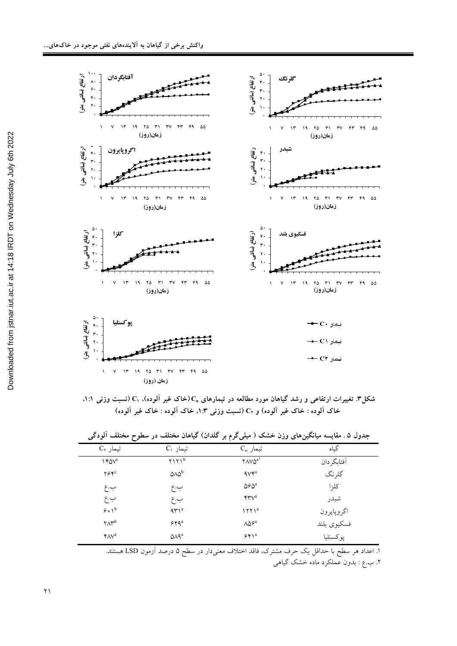

شکل۳. تغییرات ارتفاعی و رشد گیاهان مورد مطالعه در تیمارهای ،Cرخاک غیر آلوده). ،C (نسبت وزنی ۱:۱. خاک آلوده : خاک غیر آلوده) و C<sub>۲</sub> (نسبت وزن<sub>ی</sub> ۱:۳). خاک آلوده : خاک غیر آلوده)

| ~                           |                                 |                                |             |
|-----------------------------|---------------------------------|--------------------------------|-------------|
| $C_7$ تیمار                 | $C_1$ تیمار                     | $C_{o}$ تیمار                  | گیاه        |
| $Y^c$                       | $Y1Y1^b$                        | $Y \wedge V \wedge^{a}$        | أفتابكردان  |
| $Y^{\varphi}Y^{\mathrm{c}}$ | 0 <sub>0</sub>                  | $4Vf^a$                        | گلر نگ      |
| ب.ع                         | ب.ع                             | $\Delta \hat{\sigma} \Delta^a$ | كلزا        |
| ب.ع                         | ب.ع                             | $\mathbf{Y}\mathbf{Y}^a$       | شبدر        |
| 9.0                         | $4r1^a$                         | 1771 <sup>a</sup>              | اگروپايرون  |
| $\gamma \Lambda \gamma^{b}$ | $544^a$                         | $\Lambda\Delta\mathcal{S}^a$   | فسكيوى بلند |
| YAV <sup>a</sup>            | $\Delta \Lambda$ 9 <sup>a</sup> | $55^a$                         | پوكسنليا    |

جدول ۵ . مقایسه میانگینهای وزن خشک ( میلیگرم بر گلدان) گیاهان مختلف در سطوح مختلف الودگی

۱. اعداد هر سطح با حداقل یک حرف مشترک، فاقد اختلاف معنیدار در سطح ۵ درصد أزمون LSD هستند. ۲. ب.ع : بدون عملکرد ماده خشک گیاهی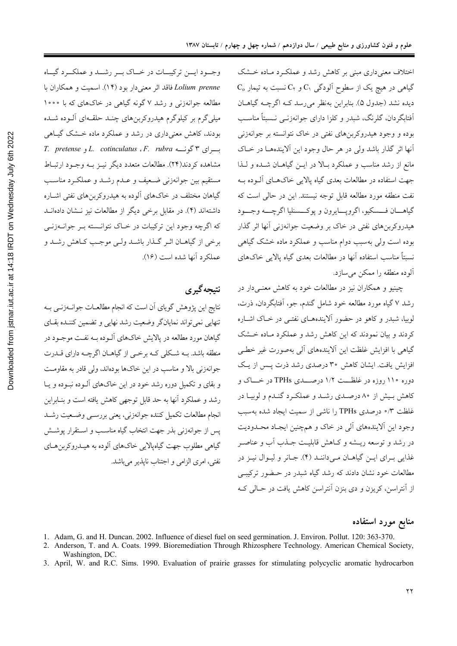اختلاف معنی داری مبنی بر کاهش رشد و عملک د ماده خشک C<sub>0</sub> گیاهی در هیچ یک از سطوح آلودگی C<sub>1</sub> و C<sub>۲</sub> نسبت به تیمار ديده نشد (جدول ۵). بنابراين بهنظر مي رسد كـه اگرچـه گياهــان اَفتابگردان، گلرنگ، شبدر و کلزا دارای جوانهزنــی نــسبتاً مناســب بوده و وجود هیدروکربنهای نفتی در خاک نتوانسته بر جوانهزنی أنها اثر گذار باشد ولی در هر حال وجود این آلایندههـا در خـاک مانع از رشد مناسب و عملکرد بـالا در ايــن گياهــان شــده و لــذا جهت استفاده در مطالعات بعدی گیاه پالایی خاکهـای آلـوده بـه نفت منطقه مورد مطالعه قابل توجه نيستند. اين در حالي است كه گياهـــان فـــسكيو، اگرويـــايرون و يوكـــسنليا اگرچــــه وجـــود هیدروکربنهای نفتی در خاک بر وضعیت جوانهزنی آنها اثر گذار بوده است ولی بهسبب دوام مناسب و عملکرد ماده خشک گیاهی نسبتاً مناسب استفاده أنها در مطالعات بعدی گیاه پالایی خاکهای آلوده منطقه را ممکن میسازد.

چینیو و همکاران نیز در مطالعات خود به کاهش معنـی۱دار در رشد ۷ گیاه مورد مطالعه خود شامل گندم، جو، اَفتابگردان، ذرت، لوبیا، شبدر و کاهو در حضور آلایندههـای نفتـی در خـاک اشـاره کردند و بیان نمودند که این کاهش رشد و عملکرد مـاده خـشک گیاهی با افزایش غلظت این آلایندههای آلی بهصورت غیر خطبی افزایش یافت. ایشان کاهش ۳۰ درصدی رشد ذرت پس از یک دوره ۱۱۰ روزه در غلظــت ۱/۲ درصـــدي TPHs در خـــاک و کاهش بـیش از ۸۰ درصـدي رشـد و عملکـرد گنـدم و لوبيـا در غلظت ۰/۳ درصدی TPHs را ناشی از سمیت ایجاد شده بهسبب وجود این اَلایندههای اَلی در خاک و همچنین ایجـاد محـدودیت در رشد و توسعه ریــشه و کــاهش قابلیــت جــذب آب و عناصــر غذایی بـرای ایـن گیاهــان مـی(داننـد (۴). جـانر و لیـوال نیـز در مطالعات خود نشان دادند که رشد گیاه شبدر در حـضور ترکیبـی از آنتراسن، کریزن و دی بنزن آنتراسن کاهش یافت در حـالی کـه

منابع مورد استفاده

- 1. Adam, G. and H. Duncan. 2002. Influence of diesel fuel on seed germination. J. Environ. Pollut. 120: 363-370.
- 2. Anderson, T. and A. Coats. 1999. Bioremediation Through Rhizosphere Technology. American Chemical Society, Washington, DC.
- 3. April, W. and R.C. Sims. 1990. Evaluation of prairie grasses for stimulating polycyclic aromatic hydrocarbon

وجود ايسن تركيبات در خباك بسر رشيد و عملكبرد گيساه Lolium prenne فاقد اثر معنى دار بود (١۴). اسميت و همكاران با مطالعه جوانهزنی و رشد ۷ گونه گیاهی در خاکهای که با ۱۰۰۰ میلیگرم بر کیلوگرم هیدروکربنهای چنـد حلقـهای آلــوده شــده بودند، کاهش معنی داری در رشد و عملکرد ماده خـشک گیـاهی T. pretense و L. cotinculatus ، F. rubra و T. pretense مشاهده کردند(۲۴). مطالعات متعدد دیگر نیـز بـه وجـود ارتبـاط مستقيم بين جوانهزني ضعيف و عــدم رشــد و عملكــرد مناســب گیاهان مختلف در خاکهای آلوده به هیدروکربنهای نفتی اشـاره داشتهاند (۴). در مقابل برخی دیگر از مطالعات نیز نـشان دادهانــد که اگرچه وجود این ترکیبات در خـاک نتوانـسته بـر جوانــهزنــی برخي از گياهــان اثــر گــذار باشــد ولــي موجــب كــاهش رشــد و عملكرد أنها شده است (١۶).

## نتيجه گيري

نتایج این پژوهش گویای آن است که انجام مطالعــات جوانــهزنــی بــه تنهایی نمی تواند نمایانگر وضعیت رشد نهایی و تضمین کننـده بقـای گیاهان مورد مطالعه در پالایش خاکهای آلـوده بـه نفـت موجـود در منطقه باشد. بـه شـكلي كـه برخـي از گياهـان اگرچـه داراي قــدرت جوانهزنی بالا و مناسب در این خاکها بودهاند، ولی قادر به مقاومت و بقای و تکمیل دوره رشد خود در این خاکهای آلــوده نبــوده و یــا رشد و عملکرد آنها به حد قابل توجهی کاهش یافته است و بنـابراین انجام مطالعات تكميل كننده جوانهزني، يعني بررســي وضــعيت رشــد پس از جوانهزنی بذر جهت انتخاب گیاه مناسـب و اسـتقرار پوشــش گیاهی مطلوب جهت گیاهپالایی خاکهای آلوده به هیـدروکربن هـای نفتي، امري الزامي و اجتناب نايذير مي باشد.